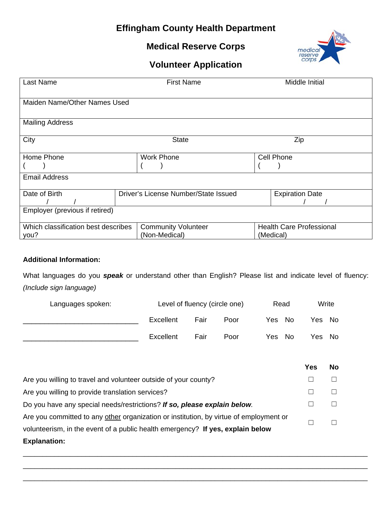## **Effingham County Health Department**

## **Medical Reserve Corps**



# **Volunteer Application**

| Last Name                                   |                                      | <b>First Name</b>                           |                                              | Middle Initial         |  |
|---------------------------------------------|--------------------------------------|---------------------------------------------|----------------------------------------------|------------------------|--|
| Maiden Name/Other Names Used                |                                      |                                             |                                              |                        |  |
| <b>Mailing Address</b>                      |                                      |                                             |                                              |                        |  |
| City                                        |                                      | <b>State</b>                                |                                              | Zip                    |  |
| Home Phone                                  |                                      | <b>Work Phone</b>                           | Cell Phone                                   |                        |  |
| <b>Email Address</b>                        |                                      |                                             |                                              |                        |  |
| Date of Birth                               | Driver's License Number/State Issued |                                             |                                              | <b>Expiration Date</b> |  |
| Employer (previous if retired)              |                                      |                                             |                                              |                        |  |
| Which classification best describes<br>you? |                                      | <b>Community Volunteer</b><br>(Non-Medical) | <b>Health Care Professional</b><br>(Medical) |                        |  |

### **Additional Information:**

What languages do you *speak* or understand other than English? Please list and indicate level of fluency: *(Include sign language)* 

| Languages spoken: | Level of fluency (circle one) |      | Read | Write       |        |
|-------------------|-------------------------------|------|------|-------------|--------|
|                   | Excellent                     | Fair | Poor | - No<br>Yes | Yes No |
|                   | Excellent                     | Fair | Poor | Yes No      | Yes No |

|                                                                                        | Yes | <b>No</b> |
|----------------------------------------------------------------------------------------|-----|-----------|
| Are you willing to travel and volunteer outside of your county?                        |     |           |
| Are you willing to provide translation services?                                       |     |           |
| Do you have any special needs/restrictions? If so, please explain below.               |     |           |
| Are you committed to any other organization or institution, by virtue of employment or |     |           |
| volunteerism, in the event of a public health emergency? If yes, explain below         |     |           |
| <b>Explanation:</b>                                                                    |     |           |

\_\_\_\_\_\_\_\_\_\_\_\_\_\_\_\_\_\_\_\_\_\_\_\_\_\_\_\_\_\_\_\_\_\_\_\_\_\_\_\_\_\_\_\_\_\_\_\_\_\_\_\_\_\_\_\_\_\_\_\_\_\_\_\_\_\_\_\_\_\_\_\_\_\_\_\_\_\_\_\_\_\_\_\_\_\_\_\_ \_\_\_\_\_\_\_\_\_\_\_\_\_\_\_\_\_\_\_\_\_\_\_\_\_\_\_\_\_\_\_\_\_\_\_\_\_\_\_\_\_\_\_\_\_\_\_\_\_\_\_\_\_\_\_\_\_\_\_\_\_\_\_\_\_\_\_\_\_\_\_\_\_\_\_\_\_\_\_\_\_\_\_\_\_\_\_\_ \_\_\_\_\_\_\_\_\_\_\_\_\_\_\_\_\_\_\_\_\_\_\_\_\_\_\_\_\_\_\_\_\_\_\_\_\_\_\_\_\_\_\_\_\_\_\_\_\_\_\_\_\_\_\_\_\_\_\_\_\_\_\_\_\_\_\_\_\_\_\_\_\_\_\_\_\_\_\_\_\_\_\_\_\_\_\_\_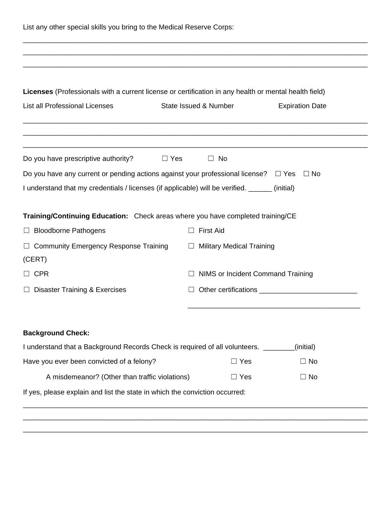| List any other special skills you bring to the Medical Reserve Corps:                                 |                                  |                                   |  |  |
|-------------------------------------------------------------------------------------------------------|----------------------------------|-----------------------------------|--|--|
|                                                                                                       |                                  |                                   |  |  |
|                                                                                                       |                                  |                                   |  |  |
| Licenses (Professionals with a current license or certification in any health or mental health field) |                                  |                                   |  |  |
| List all Professional Licenses                                                                        | State Issued & Number            | <b>Expiration Date</b>            |  |  |
|                                                                                                       |                                  |                                   |  |  |
| Do you have prescriptive authority?<br>$\Box$ Yes                                                     | $\Box$ No                        |                                   |  |  |
| Do you have any current or pending actions against your professional license? $\Box$ Yes              |                                  | ⊟ No                              |  |  |
| I understand that my credentials / licenses (if applicable) will be verified. ______ (initial)        |                                  |                                   |  |  |
| Training/Continuing Education: Check areas where you have completed training/CE                       |                                  |                                   |  |  |
| □ Bloodborne Pathogens                                                                                | <b>First Aid</b><br>ш            |                                   |  |  |
| $\Box$ Community Emergency Response Training<br>(CERT)                                                | $\Box$ Military Medical Training |                                   |  |  |
| $\Box$ CPR                                                                                            |                                  | NIMS or Incident Command Training |  |  |
| $\Box$ Disaster Training & Exercises                                                                  |                                  |                                   |  |  |
|                                                                                                       |                                  |                                   |  |  |
| <b>Background Check:</b>                                                                              |                                  |                                   |  |  |
| I understand that a Background Records Check is required of all volunteers.                           |                                  | (initial)                         |  |  |
| Have you ever been convicted of a felony?                                                             | $\Box$ Yes                       | $\Box$ No                         |  |  |
| A misdemeanor? (Other than traffic violations)                                                        | $\Box$ Yes                       | $\Box$ No                         |  |  |
|                                                                                                       |                                  |                                   |  |  |